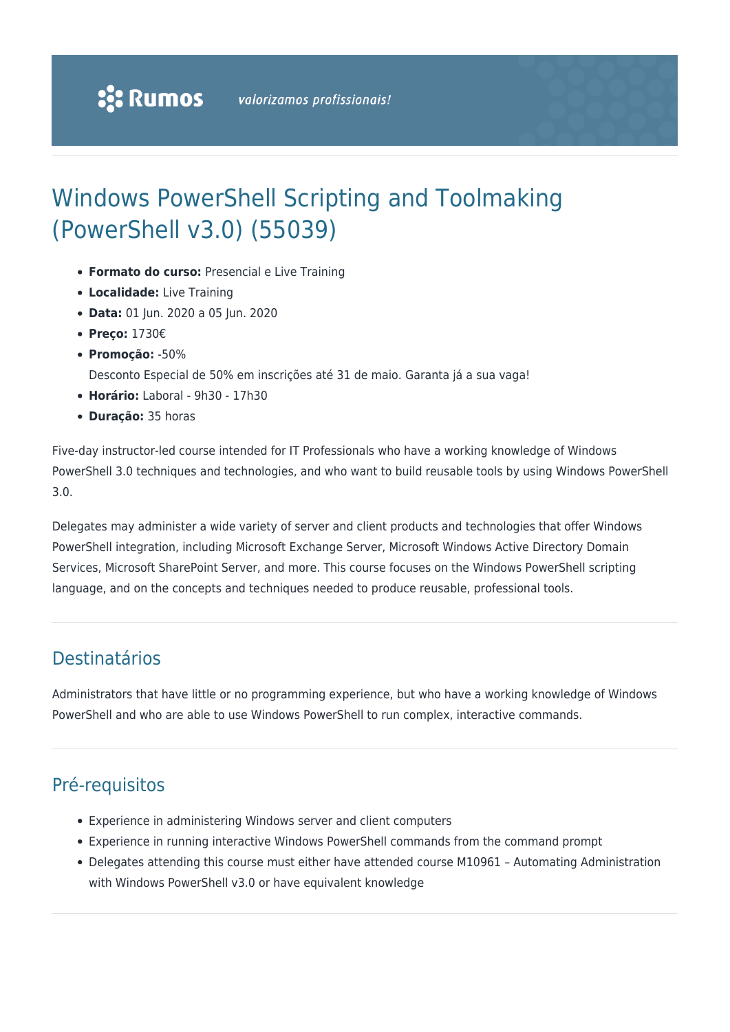# Windows PowerShell Scripting and Toolmaking (PowerShell v3.0) (55039)

- **Formato do curso:** Presencial e Live Training
- **Localidade:** Live Training
- **Data:** 01 Jun. 2020 a 05 Jun. 2020
- **Preço:** 1730€
- **Promoção:** -50%
	- Desconto Especial de 50% em inscrições até 31 de maio. Garanta já a sua vaga!
- **Horário:** Laboral 9h30 17h30
- **Duração:** 35 horas

Five-day instructor-led course intended for IT Professionals who have a working knowledge of Windows PowerShell 3.0 techniques and technologies, and who want to build reusable tools by using Windows PowerShell 3.0.

Delegates may administer a wide variety of server and client products and technologies that offer Windows PowerShell integration, including Microsoft Exchange Server, Microsoft Windows Active Directory Domain Services, Microsoft SharePoint Server, and more. This course focuses on the Windows PowerShell scripting language, and on the concepts and techniques needed to produce reusable, professional tools.

### Destinatários

Administrators that have little or no programming experience, but who have a working knowledge of Windows PowerShell and who are able to use Windows PowerShell to run complex, interactive commands.

### Pré-requisitos

- Experience in administering Windows server and client computers
- Experience in running interactive Windows PowerShell commands from the command prompt
- Delegates attending this course must either have attended course M10961 Automating Administration with Windows PowerShell v3.0 or have equivalent knowledge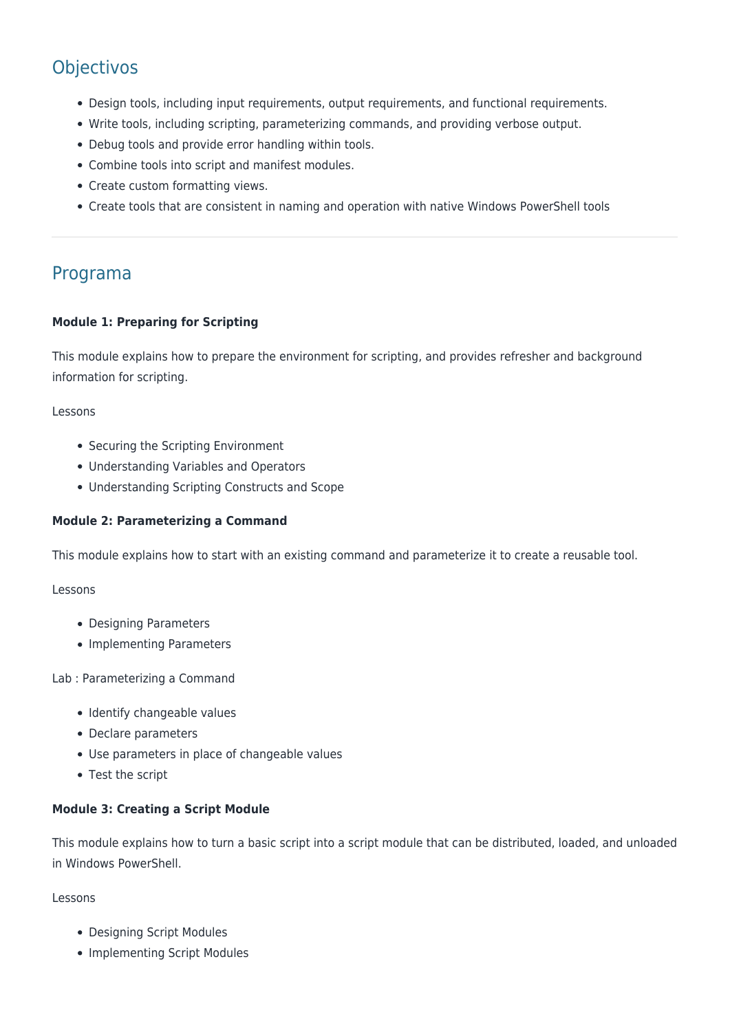## **Objectivos**

- Design tools, including input requirements, output requirements, and functional requirements.
- Write tools, including scripting, parameterizing commands, and providing verbose output.
- Debug tools and provide error handling within tools.
- Combine tools into script and manifest modules.
- Create custom formatting views.
- Create tools that are consistent in naming and operation with native Windows PowerShell tools

### Programa

#### **Module 1: Preparing for Scripting**

This module explains how to prepare the environment for scripting, and provides refresher and background information for scripting.

#### Lessons

- Securing the Scripting Environment
- Understanding Variables and Operators
- Understanding Scripting Constructs and Scope

#### **Module 2: Parameterizing a Command**

This module explains how to start with an existing command and parameterize it to create a reusable tool.

#### Lessons

- Designing Parameters
- Implementing Parameters

Lab : Parameterizing a Command

- Identify changeable values
- Declare parameters
- Use parameters in place of changeable values
- Test the script

#### **Module 3: Creating a Script Module**

This module explains how to turn a basic script into a script module that can be distributed, loaded, and unloaded in Windows PowerShell.

Lessons

- Designing Script Modules
- Implementing Script Modules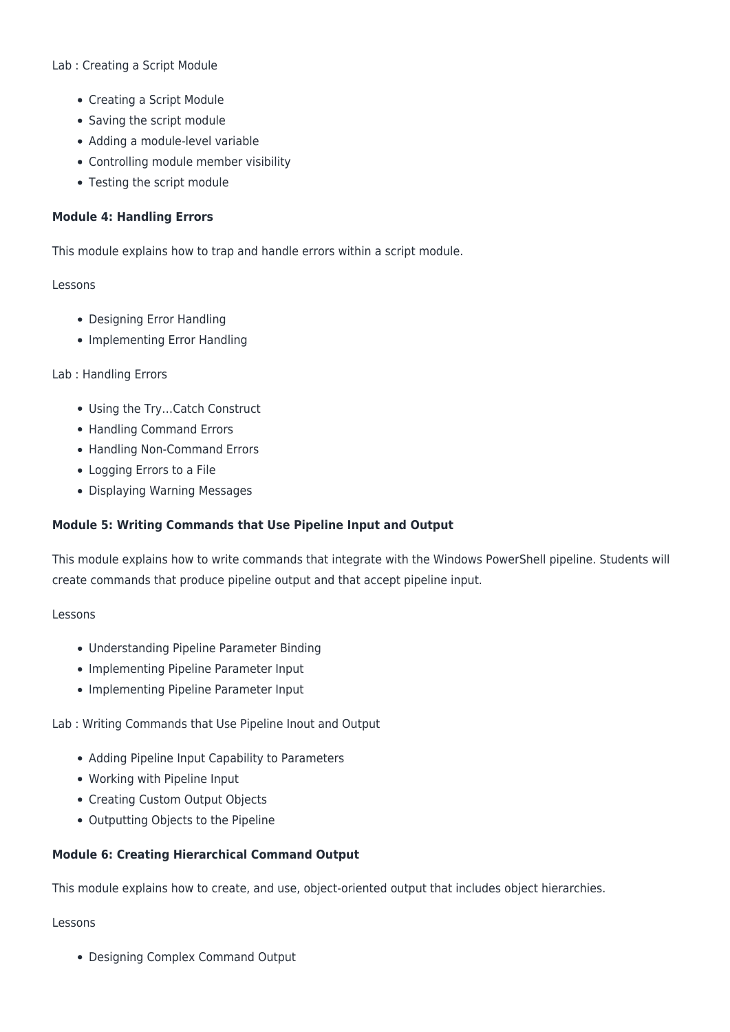#### Lab : Creating a Script Module

- Creating a Script Module
- Saving the script module
- Adding a module-level variable
- Controlling module member visibility
- Testing the script module

#### **Module 4: Handling Errors**

This module explains how to trap and handle errors within a script module.

#### Lessons

- Designing Error Handling
- Implementing Error Handling

#### Lab : Handling Errors

- Using the Try…Catch Construct
- Handling Command Errors
- Handling Non-Command Errors
- Logging Errors to a File
- Displaying Warning Messages

#### **Module 5: Writing Commands that Use Pipeline Input and Output**

This module explains how to write commands that integrate with the Windows PowerShell pipeline. Students will create commands that produce pipeline output and that accept pipeline input.

#### Lessons

- Understanding Pipeline Parameter Binding
- Implementing Pipeline Parameter Input
- Implementing Pipeline Parameter Input

Lab : Writing Commands that Use Pipeline Inout and Output

- Adding Pipeline Input Capability to Parameters
- Working with Pipeline Input
- Creating Custom Output Objects
- Outputting Objects to the Pipeline

#### **Module 6: Creating Hierarchical Command Output**

This module explains how to create, and use, object-oriented output that includes object hierarchies.

#### Lessons

Designing Complex Command Output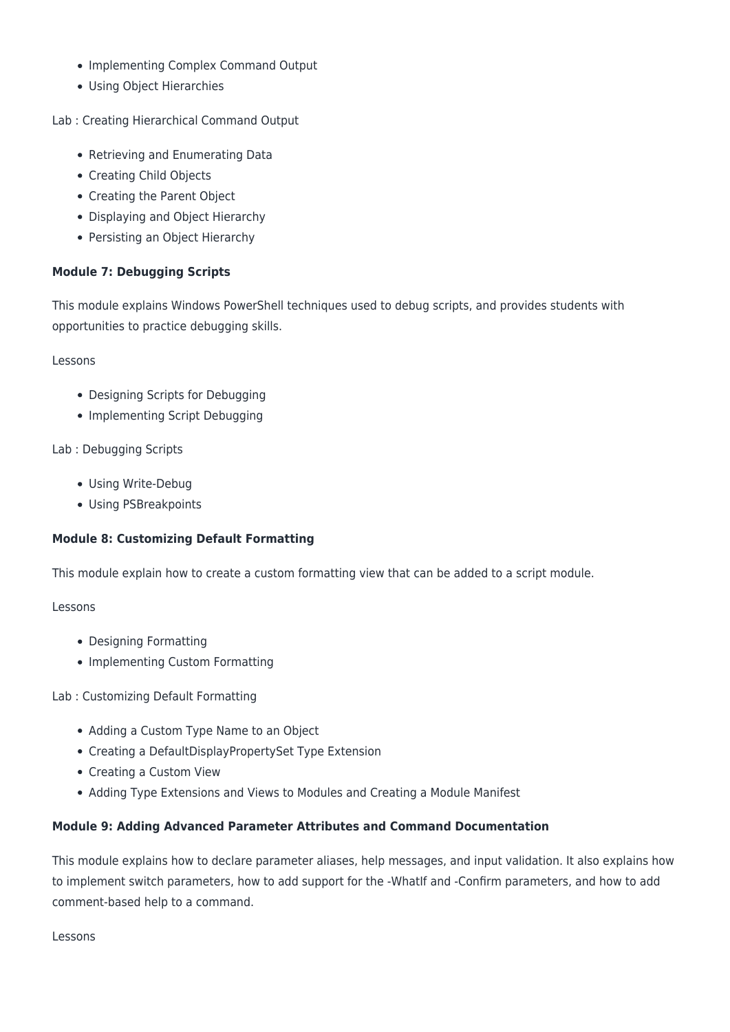- Implementing Complex Command Output
- Using Object Hierarchies

Lab : Creating Hierarchical Command Output

- Retrieving and Enumerating Data
- Creating Child Objects
- Creating the Parent Object
- Displaying and Object Hierarchy
- Persisting an Object Hierarchy

#### **Module 7: Debugging Scripts**

This module explains Windows PowerShell techniques used to debug scripts, and provides students with opportunities to practice debugging skills.

Lessons

- Designing Scripts for Debugging
- Implementing Script Debugging

Lab : Debugging Scripts

- Using Write-Debug
- Using PSBreakpoints

#### **Module 8: Customizing Default Formatting**

This module explain how to create a custom formatting view that can be added to a script module.

#### Lessons

- Designing Formatting
- Implementing Custom Formatting

Lab : Customizing Default Formatting

- Adding a Custom Type Name to an Object
- Creating a DefaultDisplayPropertySet Type Extension
- Creating a Custom View
- Adding Type Extensions and Views to Modules and Creating a Module Manifest

#### **Module 9: Adding Advanced Parameter Attributes and Command Documentation**

This module explains how to declare parameter aliases, help messages, and input validation. It also explains how to implement switch parameters, how to add support for the -WhatIf and -Confirm parameters, and how to add comment-based help to a command.

Lessons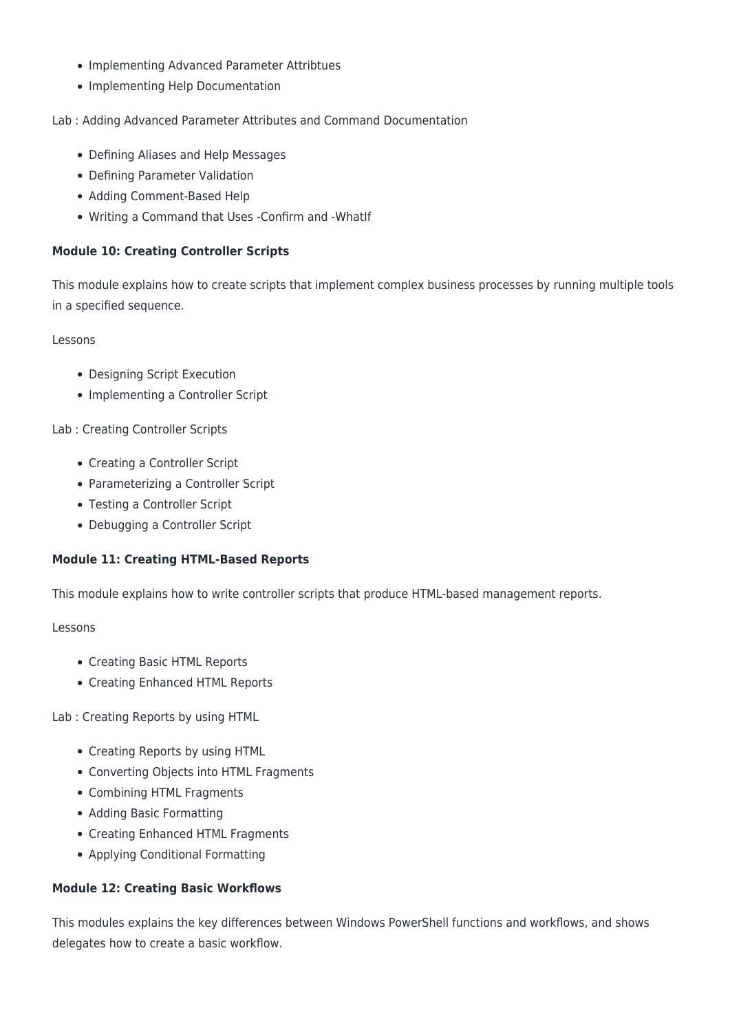- Implementing Advanced Parameter Attribtues
- Implementing Help Documentation

#### Lab : Adding Advanced Parameter Attributes and Command Documentation

- Defining Aliases and Help Messages
- Defining Parameter Validation
- Adding Comment-Based Help
- Writing a Command that Uses -Confirm and -WhatIf

#### **Module 10: Creating Controller Scripts**

This module explains how to create scripts that implement complex business processes by running multiple tools in a specified sequence.

Lessons

- Designing Script Execution
- Implementing a Controller Script

Lab : Creating Controller Scripts

- Creating a Controller Script
- Parameterizing a Controller Script
- Testing a Controller Script
- Debugging a Controller Script

#### **Module 11: Creating HTML-Based Reports**

This module explains how to write controller scripts that produce HTML-based management reports.

Lessons

- Creating Basic HTML Reports
- Creating Enhanced HTML Reports

Lab : Creating Reports by using HTML

- Creating Reports by using HTML
- Converting Objects into HTML Fragments
- Combining HTML Fragments
- Adding Basic Formatting
- Creating Enhanced HTML Fragments
- Applying Conditional Formatting

#### **Module 12: Creating Basic Workflows**

This modules explains the key differences between Windows PowerShell functions and workflows, and shows delegates how to create a basic workflow.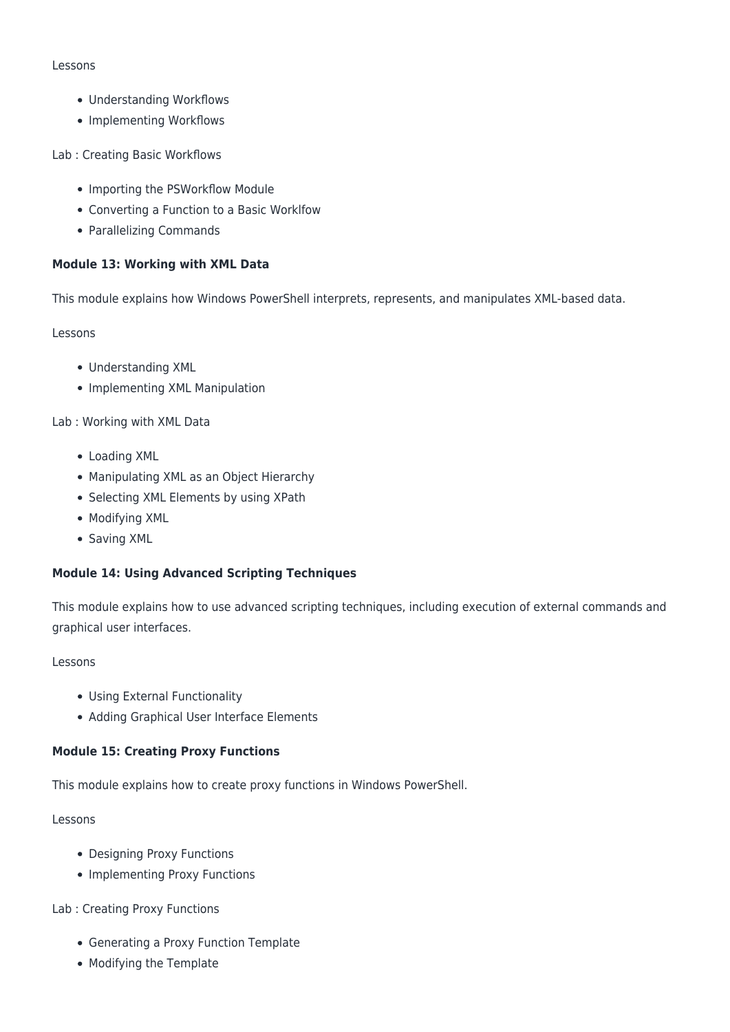#### Lessons

- Understanding Workflows
- Implementing Workflows

Lab : Creating Basic Workflows

- Importing the PSWorkflow Module
- Converting a Function to a Basic Worklfow
- Parallelizing Commands

#### **Module 13: Working with XML Data**

This module explains how Windows PowerShell interprets, represents, and manipulates XML-based data.

#### Lessons

- Understanding XML
- Implementing XML Manipulation

Lab : Working with XML Data

- Loading XML
- Manipulating XML as an Object Hierarchy
- Selecting XML Elements by using XPath
- Modifying XML
- Saving XML

#### **Module 14: Using Advanced Scripting Techniques**

This module explains how to use advanced scripting techniques, including execution of external commands and graphical user interfaces.

#### Lessons

- Using External Functionality
- Adding Graphical User Interface Elements

#### **Module 15: Creating Proxy Functions**

This module explains how to create proxy functions in Windows PowerShell.

#### Lessons

- Designing Proxy Functions
- Implementing Proxy Functions

#### Lab : Creating Proxy Functions

- Generating a Proxy Function Template
- Modifying the Template